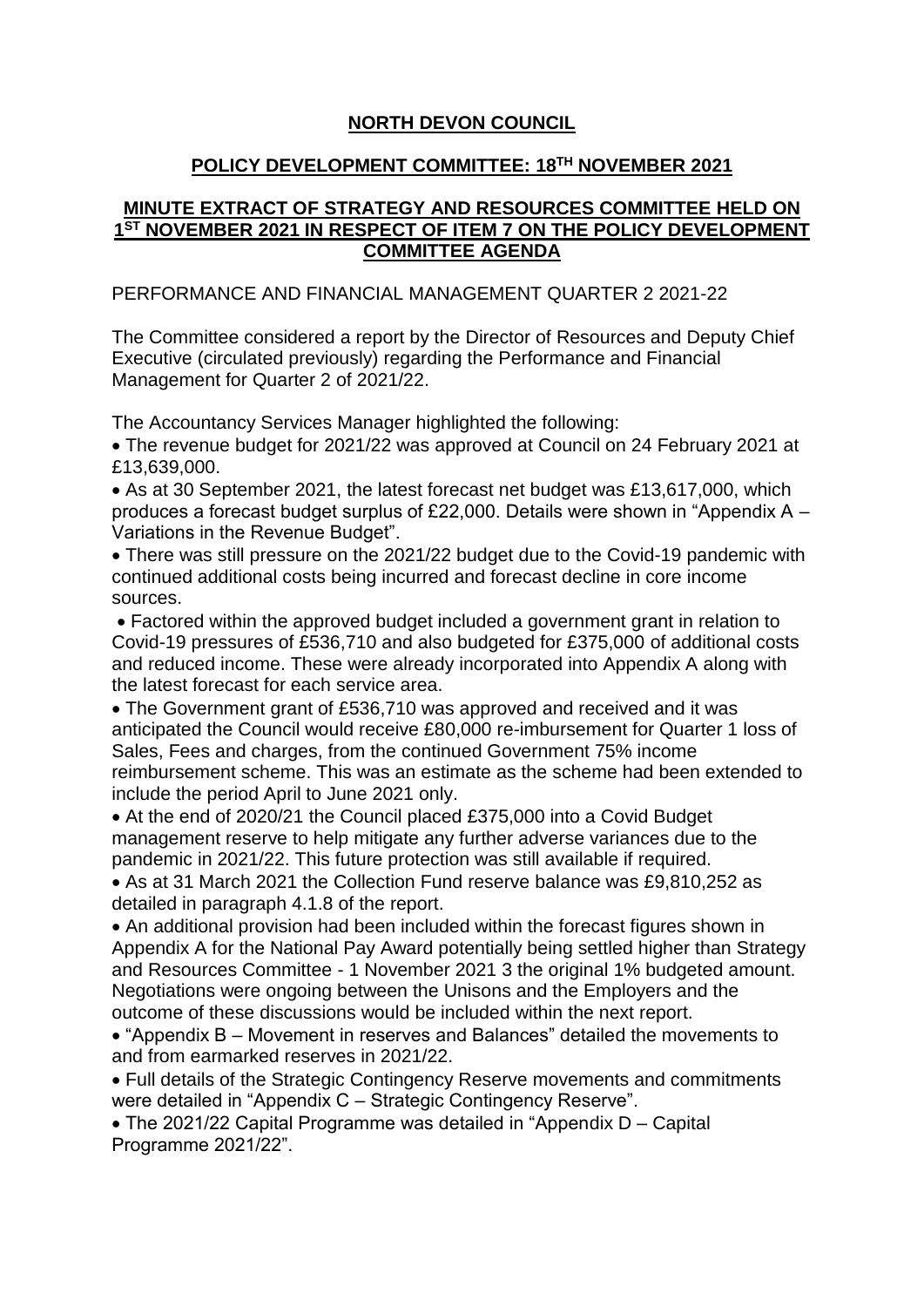## **NORTH DEVON COUNCIL**

## **POLICY DEVELOPMENT COMMITTEE: 18TH NOVEMBER 2021**

## **MINUTE EXTRACT OF STRATEGY AND RESOURCES COMMITTEE HELD ON 1 ST NOVEMBER 2021 IN RESPECT OF ITEM 7 ON THE POLICY DEVELOPMENT COMMITTEE AGENDA**

## PERFORMANCE AND FINANCIAL MANAGEMENT QUARTER 2 2021-22

The Committee considered a report by the Director of Resources and Deputy Chief Executive (circulated previously) regarding the Performance and Financial Management for Quarter 2 of 2021/22.

The Accountancy Services Manager highlighted the following:

 The revenue budget for 2021/22 was approved at Council on 24 February 2021 at £13,639,000.

- As at 30 September 2021, the latest forecast net budget was £13,617,000, which produces a forecast budget surplus of £22,000. Details were shown in "Appendix A – Variations in the Revenue Budget".
- There was still pressure on the 2021/22 budget due to the Covid-19 pandemic with continued additional costs being incurred and forecast decline in core income sources.

 Factored within the approved budget included a government grant in relation to Covid-19 pressures of £536,710 and also budgeted for £375,000 of additional costs and reduced income. These were already incorporated into Appendix A along with the latest forecast for each service area.

 The Government grant of £536,710 was approved and received and it was anticipated the Council would receive £80,000 re-imbursement for Quarter 1 loss of Sales, Fees and charges, from the continued Government 75% income reimbursement scheme. This was an estimate as the scheme had been extended to include the period April to June 2021 only.

 At the end of 2020/21 the Council placed £375,000 into a Covid Budget management reserve to help mitigate any further adverse variances due to the pandemic in 2021/22. This future protection was still available if required.

 As at 31 March 2021 the Collection Fund reserve balance was £9,810,252 as detailed in paragraph 4.1.8 of the report.

 An additional provision had been included within the forecast figures shown in Appendix A for the National Pay Award potentially being settled higher than Strategy and Resources Committee - 1 November 2021 3 the original 1% budgeted amount. Negotiations were ongoing between the Unisons and the Employers and the outcome of these discussions would be included within the next report.

 "Appendix B – Movement in reserves and Balances" detailed the movements to and from earmarked reserves in 2021/22.

 Full details of the Strategic Contingency Reserve movements and commitments were detailed in "Appendix C – Strategic Contingency Reserve".

 The 2021/22 Capital Programme was detailed in "Appendix D – Capital Programme 2021/22".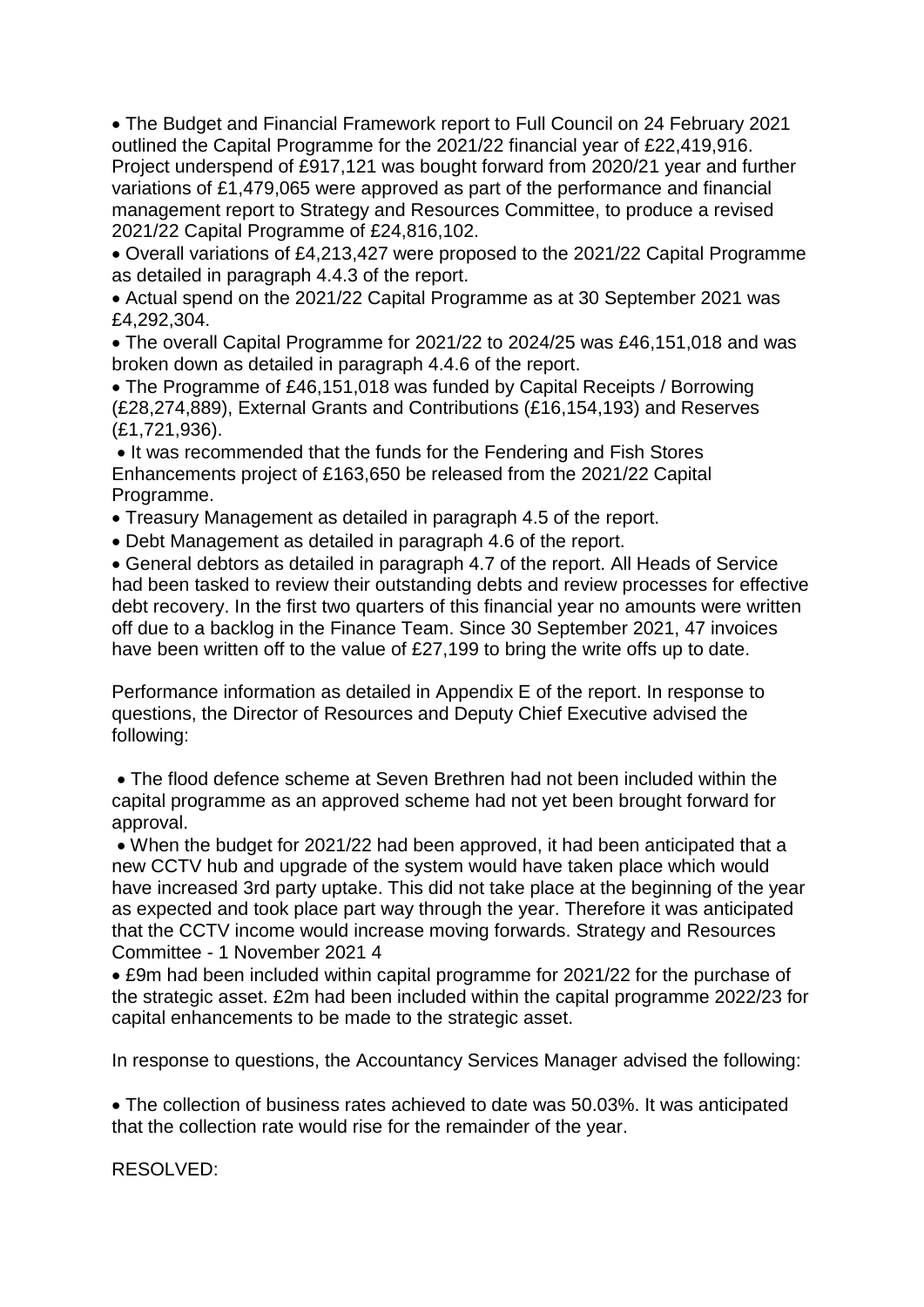The Budget and Financial Framework report to Full Council on 24 February 2021 outlined the Capital Programme for the 2021/22 financial year of £22,419,916. Project underspend of £917,121 was bought forward from 2020/21 year and further variations of £1,479,065 were approved as part of the performance and financial management report to Strategy and Resources Committee, to produce a revised 2021/22 Capital Programme of £24,816,102.

 Overall variations of £4,213,427 were proposed to the 2021/22 Capital Programme as detailed in paragraph 4.4.3 of the report.

 Actual spend on the 2021/22 Capital Programme as at 30 September 2021 was £4,292,304.

 The overall Capital Programme for 2021/22 to 2024/25 was £46,151,018 and was broken down as detailed in paragraph 4.4.6 of the report.

• The Programme of £46,151,018 was funded by Capital Receipts / Borrowing (£28,274,889), External Grants and Contributions (£16,154,193) and Reserves (£1,721,936).

• It was recommended that the funds for the Fendering and Fish Stores Enhancements project of £163,650 be released from the 2021/22 Capital Programme.

Treasury Management as detailed in paragraph 4.5 of the report.

Debt Management as detailed in paragraph 4.6 of the report.

 General debtors as detailed in paragraph 4.7 of the report. All Heads of Service had been tasked to review their outstanding debts and review processes for effective debt recovery. In the first two quarters of this financial year no amounts were written off due to a backlog in the Finance Team. Since 30 September 2021, 47 invoices have been written off to the value of £27,199 to bring the write offs up to date.

Performance information as detailed in Appendix E of the report. In response to questions, the Director of Resources and Deputy Chief Executive advised the following:

 The flood defence scheme at Seven Brethren had not been included within the capital programme as an approved scheme had not yet been brought forward for approval.

 When the budget for 2021/22 had been approved, it had been anticipated that a new CCTV hub and upgrade of the system would have taken place which would have increased 3rd party uptake. This did not take place at the beginning of the year as expected and took place part way through the year. Therefore it was anticipated that the CCTV income would increase moving forwards. Strategy and Resources Committee - 1 November 2021 4

 £9m had been included within capital programme for 2021/22 for the purchase of the strategic asset. £2m had been included within the capital programme 2022/23 for capital enhancements to be made to the strategic asset.

In response to questions, the Accountancy Services Manager advised the following:

 The collection of business rates achieved to date was 50.03%. It was anticipated that the collection rate would rise for the remainder of the year.

RESOLVED: